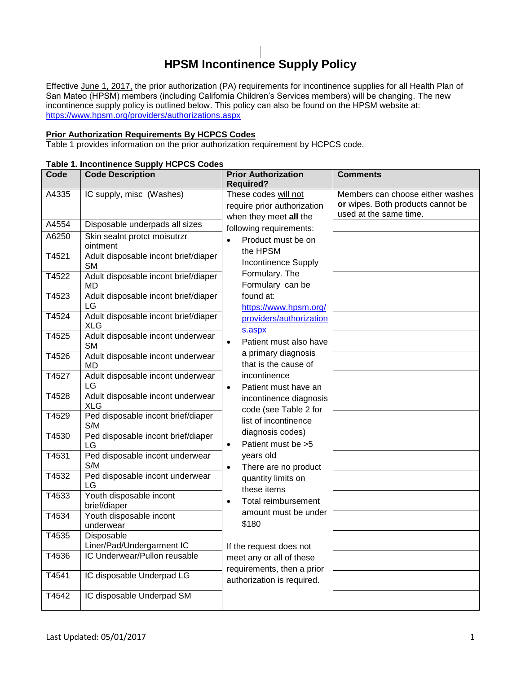# **HPSM Incontinence Supply Policy**

Effective June 1, 2017, the prior authorization (PA) requirements for incontinence supplies for all Health Plan of San Mateo (HPSM) members (including California Children's Services members) will be changing. The new incontinence supply policy is outlined below. This policy can also be found on the HPSM website at: <https://www.hpsm.org/providers/authorizations.aspx>

## **Prior Authorization Requirements By HCPCS Codes**

Table 1 provides information on the prior authorization requirement by HCPCS code.

## **Table 1. Incontinence Supply HCPCS Codes**

| Code  | <b>Code Description</b>                            | <b>Prior Authorization</b>                                                    | Comments                                                                                        |
|-------|----------------------------------------------------|-------------------------------------------------------------------------------|-------------------------------------------------------------------------------------------------|
|       |                                                    | <b>Required?</b>                                                              |                                                                                                 |
| A4335 | IC supply, misc (Washes)                           | These codes will not<br>require prior authorization<br>when they meet all the | Members can choose either washes<br>or wipes. Both products cannot be<br>used at the same time. |
| A4554 | Disposable underpads all sizes                     | following requirements:                                                       |                                                                                                 |
| A6250 | Skin sealnt protct moisutrzr<br>ointment           | Product must be on<br>$\bullet$<br>the HPSM                                   |                                                                                                 |
| T4521 | Adult disposable incont brief/diaper<br><b>SM</b>  | <b>Incontinence Supply</b>                                                    |                                                                                                 |
| T4522 | Adult disposable incont brief/diaper<br><b>MD</b>  | Formulary. The<br>Formulary can be                                            |                                                                                                 |
| T4523 | Adult disposable incont brief/diaper<br>LG         | found at:<br>https://www.hpsm.org/                                            |                                                                                                 |
| T4524 | Adult disposable incont brief/diaper<br><b>XLG</b> | providers/authorization<br>s.aspx                                             |                                                                                                 |
| T4525 | Adult disposable incont underwear<br><b>SM</b>     | Patient must also have<br>$\bullet$                                           |                                                                                                 |
| T4526 | Adult disposable incont underwear<br>MD            | a primary diagnosis<br>that is the cause of                                   |                                                                                                 |
| T4527 | Adult disposable incont underwear<br>LG            | incontinence<br>Patient must have an<br>$\bullet$                             |                                                                                                 |
| T4528 | Adult disposable incont underwear<br><b>XLG</b>    | incontinence diagnosis<br>code (see Table 2 for                               |                                                                                                 |
| T4529 | Ped disposable incont brief/diaper<br>S/M          | list of incontinence                                                          |                                                                                                 |
| T4530 | Ped disposable incont brief/diaper<br>LG           | diagnosis codes)<br>Patient must be >5<br>$\bullet$                           |                                                                                                 |
| T4531 | Ped disposable incont underwear<br>S/M             | years old<br>There are no product<br>$\bullet$                                |                                                                                                 |
| T4532 | Ped disposable incont underwear<br>LG              | quantity limits on<br>these items                                             |                                                                                                 |
| T4533 | Youth disposable incont<br>brief/diaper            | Total reimbursement<br>$\bullet$                                              |                                                                                                 |
| T4534 | Youth disposable incont<br>underwear               | amount must be under<br>\$180                                                 |                                                                                                 |
| T4535 | Disposable<br>Liner/Pad/Undergarment IC            | If the request does not                                                       |                                                                                                 |
| T4536 | IC Underwear/Pullon reusable                       | meet any or all of these<br>requirements, then a prior                        |                                                                                                 |
| T4541 | IC disposable Underpad LG                          | authorization is required.                                                    |                                                                                                 |
| T4542 | IC disposable Underpad SM                          |                                                                               |                                                                                                 |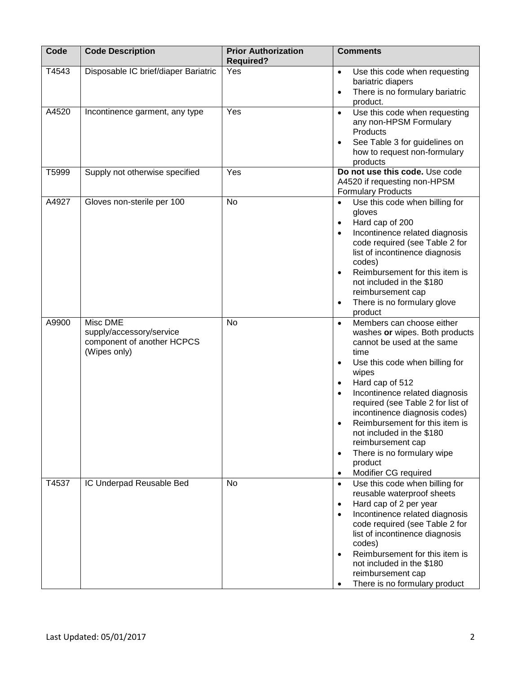| Code  | <b>Code Description</b>                                                                   | <b>Prior Authorization</b><br><b>Required?</b> | <b>Comments</b>                                                                                                                                                                                                                                                                                                                                                                                                                                                                                            |
|-------|-------------------------------------------------------------------------------------------|------------------------------------------------|------------------------------------------------------------------------------------------------------------------------------------------------------------------------------------------------------------------------------------------------------------------------------------------------------------------------------------------------------------------------------------------------------------------------------------------------------------------------------------------------------------|
| T4543 | Disposable IC brief/diaper Bariatric                                                      | Yes                                            | Use this code when requesting<br>$\bullet$<br>bariatric diapers<br>There is no formulary bariatric<br>$\bullet$<br>product.                                                                                                                                                                                                                                                                                                                                                                                |
| A4520 | Incontinence garment, any type                                                            | Yes                                            | Use this code when requesting<br>$\bullet$<br>any non-HPSM Formulary<br>Products<br>See Table 3 for guidelines on<br>$\bullet$<br>how to request non-formulary<br>products                                                                                                                                                                                                                                                                                                                                 |
| T5999 | Supply not otherwise specified                                                            | Yes                                            | Do not use this code. Use code<br>A4520 if requesting non-HPSM<br><b>Formulary Products</b>                                                                                                                                                                                                                                                                                                                                                                                                                |
| A4927 | Gloves non-sterile per 100                                                                | <b>No</b>                                      | Use this code when billing for<br>gloves<br>Hard cap of 200<br>$\bullet$<br>Incontinence related diagnosis<br>code required (see Table 2 for<br>list of incontinence diagnosis<br>codes)<br>Reimbursement for this item is<br>$\bullet$<br>not included in the \$180<br>reimbursement cap<br>There is no formulary glove<br>$\bullet$<br>product                                                                                                                                                           |
| A9900 | <b>Misc DME</b><br>supply/accessory/service<br>component of another HCPCS<br>(Wipes only) | <b>No</b>                                      | Members can choose either<br>$\bullet$<br>washes or wipes. Both products<br>cannot be used at the same<br>time<br>Use this code when billing for<br>$\bullet$<br>wipes<br>Hard cap of 512<br>$\bullet$<br>Incontinence related diagnosis<br>$\bullet$<br>required (see Table 2 for list of<br>incontinence diagnosis codes)<br>Reimbursement for this item is<br>not included in the \$180<br>reimbursement cap<br>There is no formulary wipe<br>$\bullet$<br>product<br>Modifier CG required<br>$\bullet$ |
| T4537 | IC Underpad Reusable Bed                                                                  | No                                             | Use this code when billing for<br>$\bullet$<br>reusable waterproof sheets<br>Hard cap of 2 per year<br>$\bullet$<br>Incontinence related diagnosis<br>$\bullet$<br>code required (see Table 2 for<br>list of incontinence diagnosis<br>codes)<br>Reimbursement for this item is<br>$\bullet$<br>not included in the \$180<br>reimbursement cap<br>There is no formulary product                                                                                                                            |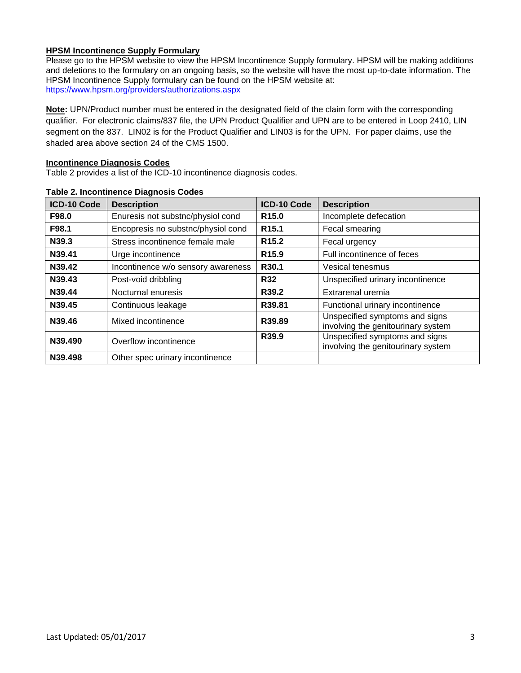## **HPSM Incontinence Supply Formulary**

Please go to the HPSM website to view the HPSM Incontinence Supply formulary. HPSM will be making additions and deletions to the formulary on an ongoing basis, so the website will have the most up-to-date information. The HPSM Incontinence Supply formulary can be found on the HPSM website at: <https://www.hpsm.org/providers/authorizations.aspx>

**Note:** UPN/Product number must be entered in the designated field of the claim form with the corresponding qualifier. For electronic claims/837 file, the UPN Product Qualifier and UPN are to be entered in Loop 2410, LIN segment on the 837. LIN02 is for the Product Qualifier and LIN03 is for the UPN. For paper claims, use the shaded area above section 24 of the CMS 1500.

#### **Incontinence Diagnosis Codes**

Table 2 provides a list of the ICD-10 incontinence diagnosis codes.

| <b>ICD-10 Code</b> | <b>Description</b>                 | <b>ICD-10 Code</b> | <b>Description</b>                                                   |
|--------------------|------------------------------------|--------------------|----------------------------------------------------------------------|
| F98.0              | Enuresis not substnc/physiol cond  | R <sub>15.0</sub>  | Incomplete defecation                                                |
| F98.1              | Encopresis no substnc/physiol cond | R <sub>15.1</sub>  | Fecal smearing                                                       |
| N39.3              | Stress incontinence female male    | R <sub>15.2</sub>  | Fecal urgency                                                        |
| N39.41             | Urge incontinence                  | R <sub>15.9</sub>  | Full incontinence of feces                                           |
| N39.42             | Incontinence w/o sensory awareness | R <sub>30.1</sub>  | Vesical tenesmus                                                     |
| N39.43             | Post-void dribbling                | <b>R32</b>         | Unspecified urinary incontinence                                     |
| N39.44             | Nocturnal enuresis                 | R39.2              | Extrarenal uremia                                                    |
| N39.45             | Continuous leakage                 | R39.81             | Functional urinary incontinence                                      |
| N39.46             | Mixed incontinence                 | R39.89             | Unspecified symptoms and signs<br>involving the genitourinary system |
| N39.490            | Overflow incontinence              | R39.9              | Unspecified symptoms and signs<br>involving the genitourinary system |
| N39.498            | Other spec urinary incontinence    |                    |                                                                      |

#### **Table 2. Incontinence Diagnosis Codes**